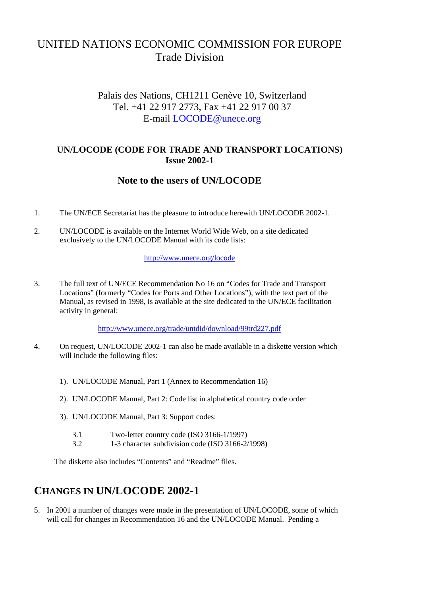# UNITED NATIONS ECONOMIC COMMISSION FOR EUROPE Trade Division

### Palais des Nations, CH1211 Genève 10, Switzerland Tel. +41 22 917 2773, Fax +41 22 917 00 37 E-mail LOCODE@unece.org

#### **UN/LOCODE (CODE FOR TRADE AND TRANSPORT LOCATIONS) Issue 2002-1**

#### **Note to the users of UN/LOCODE**

- 1. The UN/ECE Secretariat has the pleasure to introduce herewith UN/LOCODE 2002-1.
- 2. UN/LOCODE is available on the Internet World Wide Web, on a site dedicated exclusively to the UN/LOCODE Manual with its code lists:

#### http://www.unece.org/locode

3. The full text of UN/ECE Recommendation No 16 on "Codes for Trade and Transport Locations" (formerly "Codes for Ports and Other Locations"), with the text part of the Manual, as revised in 1998, is available at the site dedicated to the UN/ECE facilitation activity in general:

http://www.unece.org/trade/untdid/download/99trd227.pdf

- 4. On request, UN/LOCODE 2002-1 can also be made available in a diskette version which will include the following files:
	- 1). UN/LOCODE Manual, Part 1 (Annex to Recommendation 16)
	- 2). UN/LOCODE Manual, Part 2: Code list in alphabetical country code order
	- 3). UN/LOCODE Manual, Part 3: Support codes:
		- 3.1 Two-letter country code (ISO 3166-1/1997)
		- 3.2 1-3 character subdivision code (ISO 3166-2/1998)

The diskette also includes "Contents" and "Readme" files.

# **CHANGES IN UN/LOCODE 2002-1**

5. In 2001 a number of changes were made in the presentation of UN/LOCODE, some of which will call for changes in Recommendation 16 and the UN/LOCODE Manual. Pending a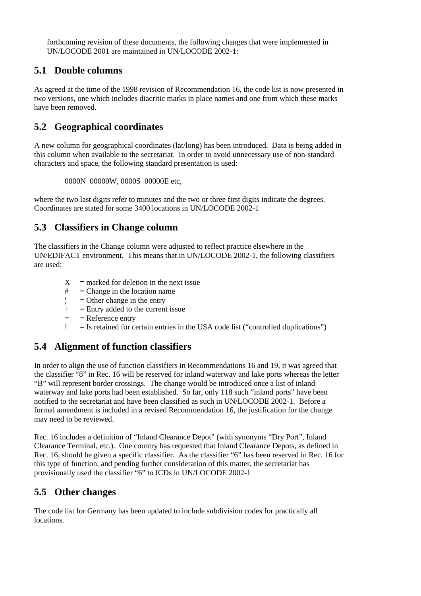forthcoming revision of these documents, the following changes that were implemented in UN/LOCODE 2001 are maintained in UN/LOCODE 2002-1:

#### **5.1 Double columns**

As agreed at the time of the 1998 revision of Recommendation 16, the code list is now presented in two versions, one which includes diacritic marks in place names and one from which these marks have been removed.

### **5.2 Geographical coordinates**

A new column for geographical coordinates (lat/long) has been introduced. Data is being added in this column when available to the secretariat. In order to avoid unnecessary use of non-standard characters and space, the following standard presentation is used:

0000N 00000W, 0000S 00000E etc,

where the two last digits refer to minutes and the two or three first digits indicate the degrees. Coordinates are stated for some 3400 locations in UN/LOCODE 2002-1

### **5.3 Classifiers in Change column**

The classifiers in the Change column were adjusted to reflect practice elsewhere in the UN/EDIFACT environment. This means that in UN/LOCODE 2002-1, the following classifiers are used:

- $X =$  marked for deletion in the next issue
- $#$  = Change in the location name
- $\vert$  = Other change in the entry
- $+$  = Entry added to the current issue
- $=$   $=$  Reference entry
- $\mathcal{L} =$  Is retained for certain entries in the USA code list ("controlled duplications")

### **5.4 Alignment of function classifiers**

In order to align the use of function classifiers in Recommendations 16 and 19, it was agreed that the classifier "8" in Rec. 16 will be reserved for inland waterway and lake ports whereas the letter "B" will represent border crossings. The change would be introduced once a list of inland waterway and lake ports had been established. So far, only 118 such "inland ports" have been notified to the secretariat and have been classified as such in UN/LOCODE 2002-1. Before a formal amendment is included in a revised Recommendation 16, the justification for the change may need to be reviewed.

Rec. 16 includes a definition of "Inland Clearance Depot" (with synonyms "Dry Port", Inland Clearance Terminal, etc.). One country has requested that Inland Clearance Depots, as defined in Rec. 16, should be given a specific classifier. As the classifier "6" has been reserved in Rec. 16 for this type of function, and pending further consideration of this matter, the secretariat has provisionally used the classifier "6" to ICDs in UN/LOCODE 2002-1

# **5.5 Other changes**

The code list for Germany has been updated to include subdivision codes for practically all locations.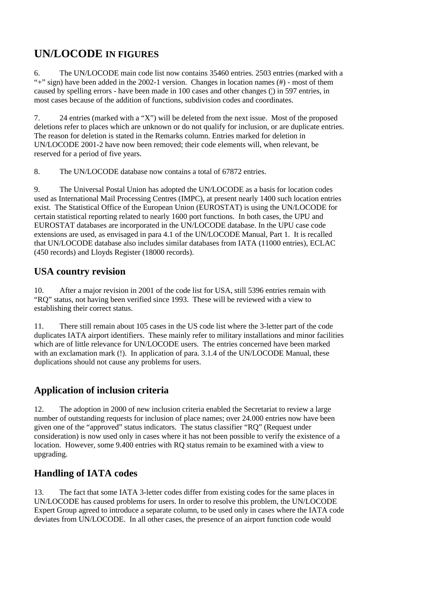# **UN/LOCODE IN FIGURES**

6. The UN/LOCODE main code list now contains 35460 entries. 2503 entries (marked with a "+" sign) have been added in the 2002-1 version. Changes in location names  $(\#)$  - most of them caused by spelling errors - have been made in 100 cases and other changes (¦) in 597 entries, in most cases because of the addition of functions, subdivision codes and coordinates.

7. 24 entries (marked with a "X") will be deleted from the next issue. Most of the proposed deletions refer to places which are unknown or do not qualify for inclusion, or are duplicate entries. The reason for deletion is stated in the Remarks column. Entries marked for deletion in UN/LOCODE 2001-2 have now been removed; their code elements will, when relevant, be reserved for a period of five years.

8. The UN/LOCODE database now contains a total of 67872 entries.

9. The Universal Postal Union has adopted the UN/LOCODE as a basis for location codes used as International Mail Processing Centres (IMPC), at present nearly 1400 such location entries exist. The Statistical Office of the European Union (EUROSTAT) is using the UN/LOCODE for certain statistical reporting related to nearly 1600 port functions. In both cases, the UPU and EUROSTAT databases are incorporated in the UN/LOCODE database. In the UPU case code extensions are used, as envisaged in para 4.1 of the UN/LOCODE Manual, Part 1. It is recalled that UN/LOCODE database also includes similar databases from IATA (11000 entries), ECLAC (450 records) and Lloyds Register (18000 records).

### **USA country revision**

10. After a major revision in 2001 of the code list for USA, still 5396 entries remain with "RQ" status, not having been verified since 1993. These will be reviewed with a view to establishing their correct status.

11. There still remain about 105 cases in the US code list where the 3-letter part of the code duplicates IATA airport identifiers. These mainly refer to military installations and minor facilities which are of little relevance for UN/LOCODE users. The entries concerned have been marked with an exclamation mark (!). In application of para. 3.1.4 of the UN/LOCODE Manual, these duplications should not cause any problems for users.

# **Application of inclusion criteria**

12. The adoption in 2000 of new inclusion criteria enabled the Secretariat to review a large number of outstanding requests for inclusion of place names; over 24.000 entries now have been given one of the "approved" status indicators. The status classifier "RQ" (Request under consideration) is now used only in cases where it has not been possible to verify the existence of a location. However, some 9.400 entries with RQ status remain to be examined with a view to upgrading.

# **Handling of IATA codes**

13. The fact that some IATA 3-letter codes differ from existing codes for the same places in UN/LOCODE has caused problems for users. In order to resolve this problem, the UN/LOCODE Expert Group agreed to introduce a separate column, to be used only in cases where the IATA code deviates from UN/LOCODE. In all other cases, the presence of an airport function code would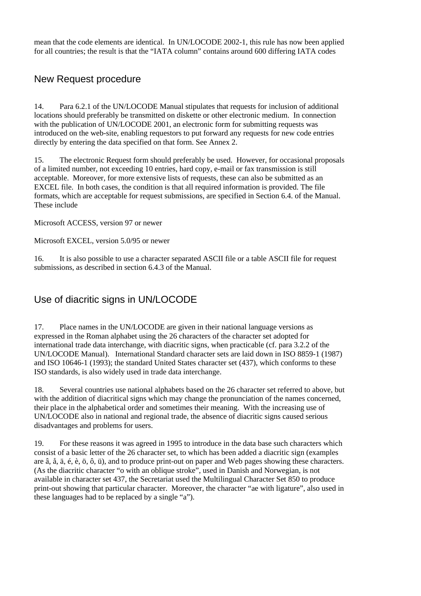mean that the code elements are identical. In UN/LOCODE 2002-1, this rule has now been applied for all countries; the result is that the "IATA column" contains around 600 differing IATA codes

### New Request procedure

14. Para 6.2.1 of the UN/LOCODE Manual stipulates that requests for inclusion of additional locations should preferably be transmitted on diskette or other electronic medium. In connection with the publication of UN/LOCODE 2001, an electronic form for submitting requests was introduced on the web-site, enabling requestors to put forward any requests for new code entries directly by entering the data specified on that form. See Annex 2.

15. The electronic Request form should preferably be used. However, for occasional proposals of a limited number, not exceeding 10 entries, hard copy, e-mail or fax transmission is still acceptable. Moreover, for more extensive lists of requests, these can also be submitted as an EXCEL file. In both cases, the condition is that all required information is provided. The file formats, which are acceptable for request submissions, are specified in Section 6.4. of the Manual. These include

Microsoft ACCESS, version 97 or newer

Microsoft EXCEL, version 5.0/95 or newer

16. It is also possible to use a character separated ASCII file or a table ASCII file for request submissions, as described in section 6.4.3 of the Manual.

# Use of diacritic signs in UN/LOCODE

17. Place names in the UN/LOCODE are given in their national language versions as expressed in the Roman alphabet using the 26 characters of the character set adopted for international trade data interchange, with diacritic signs, when practicable (cf. para 3.2.2 of the UN/LOCODE Manual). International Standard character sets are laid down in ISO 8859-1 (1987) and ISO 10646-1 (1993); the standard United States character set (437), which conforms to these ISO standards, is also widely used in trade data interchange.

18. Several countries use national alphabets based on the 26 character set referred to above, but with the addition of diacritical signs which may change the pronunciation of the names concerned, their place in the alphabetical order and sometimes their meaning. With the increasing use of UN/LOCODE also in national and regional trade, the absence of diacritic signs caused serious disadvantages and problems for users.

19. For these reasons it was agreed in 1995 to introduce in the data base such characters which consist of a basic letter of the 26 character set, to which has been added a diacritic sign (examples are â, å, ä, é, è, ö, ô, ü), and to produce print-out on paper and Web pages showing these characters. (As the diacritic character "o with an oblique stroke", used in Danish and Norwegian, is not available in character set 437, the Secretariat used the Multilingual Character Set 850 to produce print-out showing that particular character. Moreover, the character "ae with ligature", also used in these languages had to be replaced by a single "a").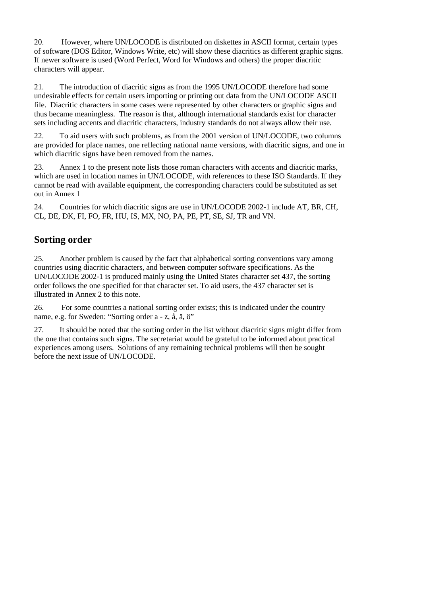20. However, where UN/LOCODE is distributed on diskettes in ASCII format, certain types of software (DOS Editor, Windows Write, etc) will show these diacritics as different graphic signs. If newer software is used (Word Perfect, Word for Windows and others) the proper diacritic characters will appear.

21. The introduction of diacritic signs as from the 1995 UN/LOCODE therefore had some undesirable effects for certain users importing or printing out data from the UN/LOCODE ASCII file. Diacritic characters in some cases were represented by other characters or graphic signs and thus became meaningless. The reason is that, although international standards exist for character sets including accents and diacritic characters, industry standards do not always allow their use.

22. To aid users with such problems, as from the 2001 version of UN/LOCODE, two columns are provided for place names, one reflecting national name versions, with diacritic signs, and one in which diacritic signs have been removed from the names.

23. Annex 1 to the present note lists those roman characters with accents and diacritic marks, which are used in location names in UN/LOCODE, with references to these ISO Standards. If they cannot be read with available equipment, the corresponding characters could be substituted as set out in Annex 1

24. Countries for which diacritic signs are use in UN/LOCODE 2002-1 include AT, BR, CH, CL, DE, DK, FI, FO, FR, HU, IS, MX, NO, PA, PE, PT, SE, SJ, TR and VN.

### **Sorting order**

25. Another problem is caused by the fact that alphabetical sorting conventions vary among countries using diacritic characters, and between computer software specifications. As the UN/LOCODE 2002-1 is produced mainly using the United States character set 437, the sorting order follows the one specified for that character set. To aid users, the 437 character set is illustrated in Annex 2 to this note.

26. For some countries a national sorting order exists; this is indicated under the country name, e.g. for Sweden: "Sorting order a - z, å, ä, ö"

27. It should be noted that the sorting order in the list without diacritic signs might differ from the one that contains such signs. The secretariat would be grateful to be informed about practical experiences among users. Solutions of any remaining technical problems will then be sought before the next issue of UN/LOCODE.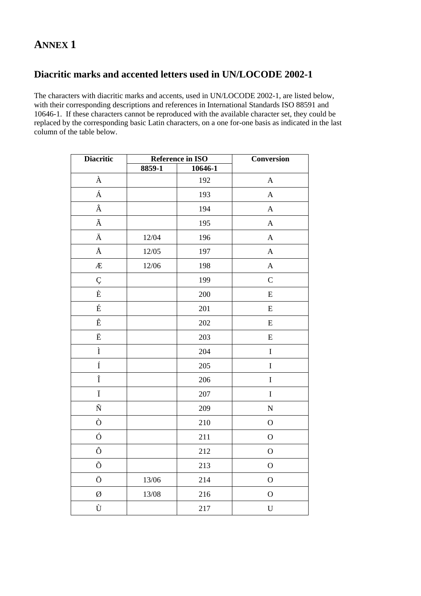# **ANNEX1**

# Diacritic marks and accented letters used in UN/LOCODE 2002-1

The characters with diacritic marks and accents, used in UN/LOCODE 2002-1, are listed below, with their corresponding descriptions and references in International Standards ISO 88591 and 10646-1. If these characters cannot be reproduced with the available character set, they could be replaced by the corresponding basic Latin characters, on a one for-one basis as indicated in the last column of the table below.

| <b>Diacritic</b>   |          | <b>Reference in ISO</b> | <b>Conversion</b>         |
|--------------------|----------|-------------------------|---------------------------|
|                    | $8859-1$ | 10646-1                 |                           |
| À                  |          | 192                     | $\boldsymbol{\mathsf{A}}$ |
| Á                  |          | 193                     | $\mathbf{A}$              |
| Â                  |          | 194                     | $\boldsymbol{\mathsf{A}}$ |
| $\tilde{\text{A}}$ |          | 195                     | $\mathbf{A}$              |
| Ä                  | 12/04    | 196                     | $\mathbf{A}$              |
| Å                  | 12/05    | 197                     | $\mathbf{A}$              |
| Æ                  | 12/06    | 198                     | $\boldsymbol{A}$          |
| Ç                  |          | 199                     | $\mathbf C$               |
| $\grave{\text{E}}$ |          | 200                     | ${\bf E}$                 |
| É                  |          | 201                     | ${\bf E}$                 |
| Ê                  |          | 202                     | ${\bf E}$                 |
| Ë                  |          | 203                     | ${\bf E}$                 |
| Ì                  |          | 204                     | $\mathbf I$               |
| Í                  |          | 205                     | $\mathbf I$               |
| $\hat{\textbf{I}}$ |          | 206                     | $\overline{I}$            |
| Ï                  |          | 207                     | $\mathbf I$               |
| $\tilde{\text{N}}$ |          | 209                     | $\overline{N}$            |
| Ò                  |          | 210                     | $\overline{O}$            |
| Ó                  |          | 211                     | $\mathbf{O}$              |
| Ô                  |          | 212                     | $\mathbf O$               |
| Õ                  |          | 213                     | $\mathbf O$               |
| Ö                  | 13/06    | 214                     | $\mathbf{O}$              |
| Ø                  | 13/08    | 216                     | $\mathcal{O}$             |
| Ù                  |          | 217                     | $\mathbf U$               |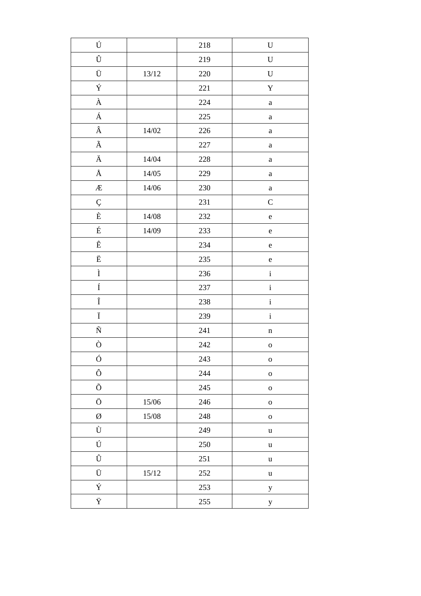| Ú                    |           | $218\,$ | $\mathbf U$  |
|----------------------|-----------|---------|--------------|
| Û                    |           | 219     | $\mathbf U$  |
| Ü                    | $13/12\,$ | 220     | $\mathbf U$  |
| Ý                    |           | $221\,$ | $\mathbf Y$  |
| $\grave{\text{A}}$   |           | 224     | $\mathbf{a}$ |
| Á                    |           | 225     | $\rm{a}$     |
| $\hat{\textbf{A}}$   | 14/02     | 226     | $\rm{a}$     |
| $\tilde{\text{A}}$   |           | 227     | $\mathbf{a}$ |
| $\ddot{\textrm{A}}$  | 14/04     | $228\,$ | $\rm{a}$     |
| $\hbox{\AA}$         | 14/05     | 229     | $\rm{a}$     |
| Æ                    | 14/06     | 230     | $\mathbf{a}$ |
| Ç                    |           | 231     | $\mathsf{C}$ |
| $\grave{\text{E}}$   | 14/08     | 232     | $\mathbf e$  |
| $\acute{\mathrm{E}}$ | 14/09     | 233     | $\mathbf e$  |
| $\triangle$          |           | 234     | $\mathbf e$  |
| $\ddot{\mathbf{E}}$  |           | 235     | $\mathbf e$  |
| $\mathbf{\hat{I}}$   |           | 236     | $\mathbf i$  |
| $\acute{\rm I}$      |           | 237     | $\rm i$      |
| $\hat{\textbf{I}}$   |           | 238     | $\mathbf{i}$ |
| Ï                    |           | 239     | $\rm i$      |
| $\tilde{\text{N}}$   |           | $241\,$ | $\mathbf n$  |
| Ò                    |           | 242     | $\mathbf{o}$ |
| Ó                    |           | 243     | $\mathbf 0$  |
| Ô                    |           | 244     | $\mathbf 0$  |
| Õ                    |           | 245     | $\mathbf 0$  |
| Ö                    | 15/06     | 246     | $\mathbf 0$  |
| Ø                    | 15/08     | 248     | $\mathbf 0$  |
| Ù                    |           | 249     | $\mathbf u$  |
| Ú                    |           | 250     | $\mathbf u$  |
| Û                    |           | 251     | $\mathbf u$  |
| Ü                    | $15/12\,$ | $252\,$ | $\mathbf u$  |
| Ý                    |           | 253     | $\mathbf y$  |
| Ÿ                    |           | 255     | $\mathbf y$  |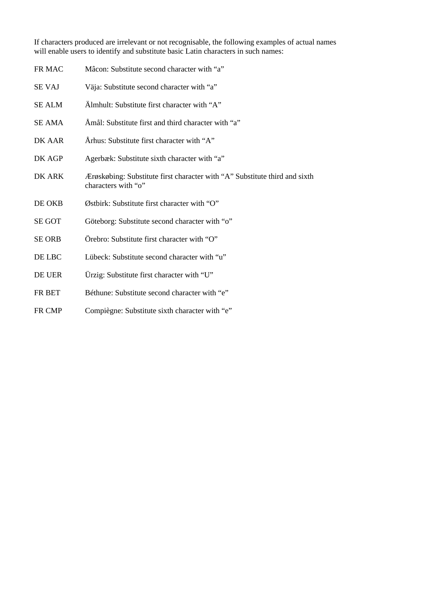If characters produced are irrelevant or not recognisable, the following examples of actual names will enable users to identify and substitute basic Latin characters in such names:

| FR MAC        | Mâcon: Substitute second character with "a"                                                       |
|---------------|---------------------------------------------------------------------------------------------------|
| <b>SE VAJ</b> | Väja: Substitute second character with "a"                                                        |
| <b>SE ALM</b> | Almhult: Substitute first character with "A"                                                      |
| <b>SE AMA</b> | Amål: Substitute first and third character with "a"                                               |
| DK AAR        | Arhus: Substitute first character with "A"                                                        |
| DK AGP        | Agerbæk: Substitute sixth character with "a"                                                      |
| DK ARK        | Ærøskøbing: Substitute first character with "A" Substitute third and sixth<br>characters with "o" |
| DE OKB        | Østbirk: Substitute first character with "O"                                                      |
| <b>SE GOT</b> | Göteborg: Substitute second character with "o"                                                    |
| <b>SE ORB</b> | Örebro: Substitute first character with "O"                                                       |
| DE LBC        | Lübeck: Substitute second character with "u"                                                      |
| DE UER        | Urzig: Substitute first character with "U"                                                        |
| FR BET        | Béthune: Substitute second character with "e"                                                     |
| FR CMP        | Compiègne: Substitute sixth character with "e"                                                    |